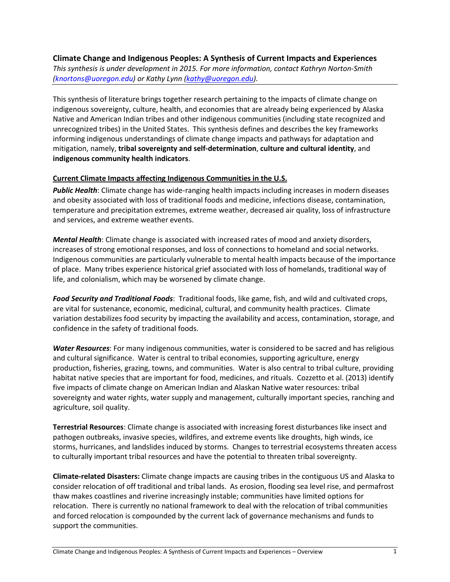**Climate Change and Indigenous Peoples: A Synthesis of Current Impacts and Experiences**  *This synthesis is under development in 2015. For more information, contact Kathryn Norton-Smith [\(knortons@uoregon.edu\)](mailto:knortons@uoregon.edu) or Kathy Lynn [\(kathy@uoregon.edu\)](mailto:kathy@uoregon.edu).* 

This synthesis of literature brings together research pertaining to the impacts of climate change on indigenous sovereignty, culture, health, and economies that are already being experienced by Alaska Native and American Indian tribes and other indigenous communities (including state recognized and unrecognized tribes) in the United States. This synthesis defines and describes the key frameworks informing indigenous understandings of climate change impacts and pathways for adaptation and mitigation, namely, **tribal sovereignty and self-determination**, **culture and cultural identity**, and **indigenous community health indicators**.

## **Current Climate Impacts affecting Indigenous Communities in the U.S.**

*Public Health*: Climate change has wide-ranging health impacts including increases in modern diseases and obesity associated with loss of traditional foods and medicine, infections disease, contamination, temperature and precipitation extremes, extreme weather, decreased air quality, loss of infrastructure and services, and extreme weather events.

*Mental Health*: Climate change is associated with increased rates of mood and anxiety disorders, increases of strong emotional responses, and loss of connections to homeland and social networks. Indigenous communities are particularly vulnerable to mental health impacts because of the importance of place. Many tribes experience historical grief associated with loss of homelands, traditional way of life, and colonialism, which may be worsened by climate change.

*Food Security and Traditional Foods*: Traditional foods, like game, fish, and wild and cultivated crops, are vital for sustenance, economic, medicinal, cultural, and community health practices. Climate variation destabilizes food security by impacting the availability and access, contamination, storage, and confidence in the safety of traditional foods.

*Water Resources*: For many indigenous communities, water is considered to be sacred and has religious and cultural significance. Water is central to tribal economies, supporting agriculture, energy production, fisheries, grazing, towns, and communities. Water is also central to tribal culture, providing habitat native species that are important for food, medicines, and rituals. Cozzetto et al. (2013) identify five impacts of climate change on American Indian and Alaskan Native water resources: tribal sovereignty and water rights, water supply and management, culturally important species, ranching and agriculture, soil quality.

**Terrestrial Resources**: Climate change is associated with increasing forest disturbances like insect and pathogen outbreaks, invasive species, wildfires, and extreme events like droughts, high winds, ice storms, hurricanes, and landslides induced by storms. Changes to terrestrial ecosystems threaten access to culturally important tribal resources and have the potential to threaten tribal sovereignty.

**Climate-related Disasters:** Climate change impacts are causing tribes in the contiguous US and Alaska to consider relocation of off traditional and tribal lands. As erosion, flooding sea level rise, and permafrost thaw makes coastlines and riverine increasingly instable; communities have limited options for relocation. There is currently no national framework to deal with the relocation of tribal communities and forced relocation is compounded by the current lack of governance mechanisms and funds to support the communities.